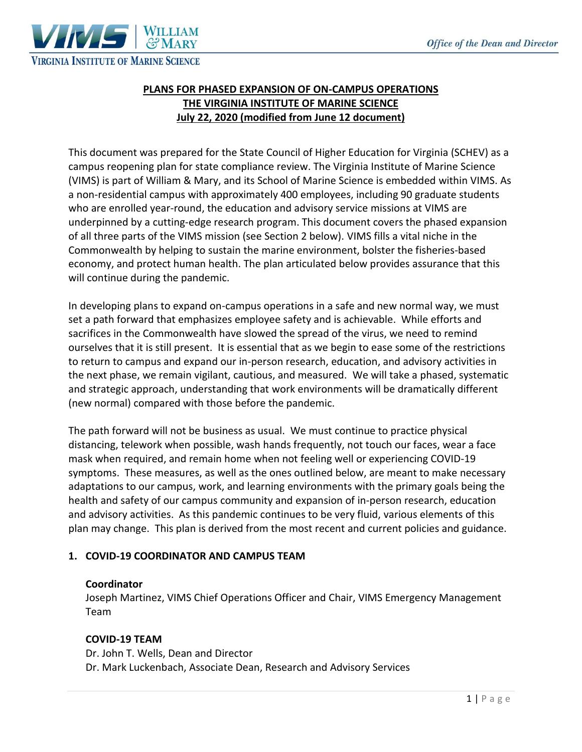

## **PLANS FOR PHASED EXPANSION OF ON-CAMPUS OPERATIONS THE VIRGINIA INSTITUTE OF MARINE SCIENCE July 22, 2020 (modified from June 12 document)**

This document was prepared for the State Council of Higher Education for Virginia (SCHEV) as a campus reopening plan for state compliance review. The Virginia Institute of Marine Science (VIMS) is part of William & Mary, and its School of Marine Science is embedded within VIMS. As a non-residential campus with approximately 400 employees, including 90 graduate students who are enrolled year-round, the education and advisory service missions at VIMS are underpinned by a cutting-edge research program. This document covers the phased expansion of all three parts of the VIMS mission (see Section 2 below). VIMS fills a vital niche in the Commonwealth by helping to sustain the marine environment, bolster the fisheries-based economy, and protect human health. The plan articulated below provides assurance that this will continue during the pandemic.

In developing plans to expand on-campus operations in a safe and new normal way, we must set a path forward that emphasizes employee safety and is achievable. While efforts and sacrifices in the Commonwealth have slowed the spread of the virus, we need to remind ourselves that it is still present. It is essential that as we begin to ease some of the restrictions to return to campus and expand our in-person research, education, and advisory activities in the next phase, we remain vigilant, cautious, and measured. We will take a phased, systematic and strategic approach, understanding that work environments will be dramatically different (new normal) compared with those before the pandemic.

The path forward will not be business as usual. We must continue to practice physical distancing, telework when possible, wash hands frequently, not touch our faces, wear a face mask when required, and remain home when not feeling well or experiencing COVID-19 symptoms. These measures, as well as the ones outlined below, are meant to make necessary adaptations to our campus, work, and learning environments with the primary goals being the health and safety of our campus community and expansion of in-person research, education and advisory activities. As this pandemic continues to be very fluid, various elements of this plan may change. This plan is derived from the most recent and current policies and guidance.

## **1. COVID-19 COORDINATOR AND CAMPUS TEAM**

#### **Coordinator**

Joseph Martinez, VIMS Chief Operations Officer and Chair, VIMS Emergency Management Team

## **COVID-19 TEAM**

Dr. John T. Wells, Dean and Director Dr. Mark Luckenbach, Associate Dean, Research and Advisory Services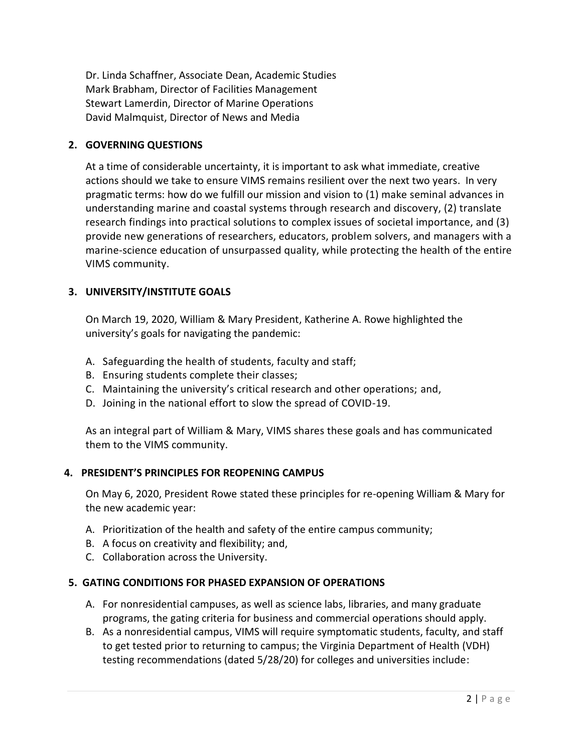Dr. Linda Schaffner, Associate Dean, Academic Studies Mark Brabham, Director of Facilities Management Stewart Lamerdin, Director of Marine Operations David Malmquist, Director of News and Media

#### **2. GOVERNING QUESTIONS**

At a time of considerable uncertainty, it is important to ask what immediate, creative actions should we take to ensure VIMS remains resilient over the next two years. In very pragmatic terms: how do we fulfill our mission and vision to (1) make seminal advances in understanding marine and coastal systems through research and discovery, (2) translate research findings into practical solutions to complex issues of societal importance, and (3) provide new generations of researchers, educators, problem solvers, and managers with a marine-science education of unsurpassed quality, while protecting the health of the entire VIMS community.

## **3. UNIVERSITY/INSTITUTE GOALS**

On March 19, 2020, William & Mary President, Katherine A. Rowe highlighted the university's goals for navigating the pandemic:

- A. Safeguarding the health of students, faculty and staff;
- B. Ensuring students complete their classes;
- C. Maintaining the university's critical research and other operations; and,
- D. Joining in the national effort to slow the spread of COVID-19.

As an integral part of William & Mary, VIMS shares these goals and has communicated them to the VIMS community.

## **4. PRESIDENT'S PRINCIPLES FOR REOPENING CAMPUS**

On May 6, 2020, President Rowe stated these principles for re-opening William & Mary for the new academic year:

- A. Prioritization of the health and safety of the entire campus community;
- B. A focus on creativity and flexibility; and,
- C. Collaboration across the University.

## **5. GATING CONDITIONS FOR PHASED EXPANSION OF OPERATIONS**

- A. For nonresidential campuses, as well as science labs, libraries, and many graduate programs, the gating criteria for business and commercial operations should apply.
- B. As a nonresidential campus, VIMS will require symptomatic students, faculty, and staff to get tested prior to returning to campus; the Virginia Department of Health (VDH) testing recommendations (dated 5/28/20) for colleges and universities include: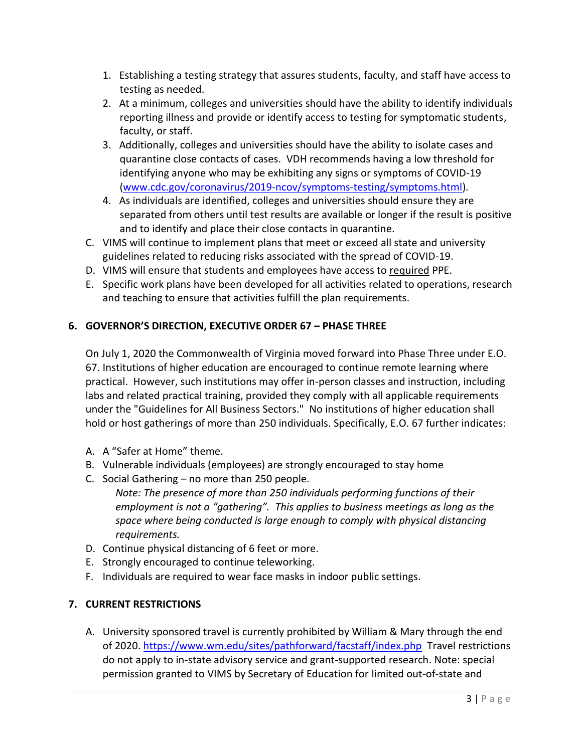- 1. Establishing a testing strategy that assures students, faculty, and staff have access to testing as needed.
- 2. At a minimum, colleges and universities should have the ability to identify individuals reporting illness and provide or identify access to testing for symptomatic students, faculty, or staff.
- 3. Additionally, colleges and universities should have the ability to isolate cases and quarantine close contacts of cases. VDH recommends having a low threshold for identifying anyone who may be exhibiting any signs or symptoms of COVID-19 [\(www.cdc.gov/coronavirus/2019-ncov/symptoms-testing/symptoms.html\)](http://www.cdc.gov/coronavirus/2019-ncov/symptoms-testing/symptoms.html).
- 4. As individuals are identified, colleges and universities should ensure they are separated from others until test results are available or longer if the result is positive and to identify and place their close contacts in quarantine.
- C. VIMS will continue to implement plans that meet or exceed all state and university guidelines related to reducing risks associated with the spread of COVID-19.
- D. VIMS will ensure that students and employees have access to required PPE.
- E. Specific work plans have been developed for all activities related to operations, research and teaching to ensure that activities fulfill the plan requirements.

# **6. GOVERNOR'S DIRECTION, EXECUTIVE ORDER 67 – PHASE THREE**

On July 1, 2020 the Commonwealth of Virginia moved forward into Phase Three under E.O. 67. Institutions of higher education are encouraged to continue remote learning where practical. However, such institutions may offer in-person classes and instruction, including labs and related practical training, provided they comply with all applicable requirements under the "Guidelines for All Business Sectors." No institutions of higher education shall hold or host gatherings of more than 250 individuals. Specifically, E.O. 67 further indicates:

- A. A "Safer at Home" theme.
- B. Vulnerable individuals (employees) are strongly encouraged to stay home
- C. Social Gathering no more than 250 people.

*Note: The presence of more than 250 individuals performing functions of their employment is not a "gathering". This applies to business meetings as long as the space where being conducted is large enough to comply with physical distancing requirements.*

- D. Continue physical distancing of 6 feet or more.
- E. Strongly encouraged to continue teleworking.
- F. Individuals are required to wear face masks in indoor public settings.

## **7. CURRENT RESTRICTIONS**

A. University sponsored travel is currently prohibited by William & Mary through the end of 2020. <https://www.wm.edu/sites/pathforward/facstaff/index.php> Travel restrictions do not apply to in-state advisory service and grant-supported research. Note: special permission granted to VIMS by Secretary of Education for limited out-of-state and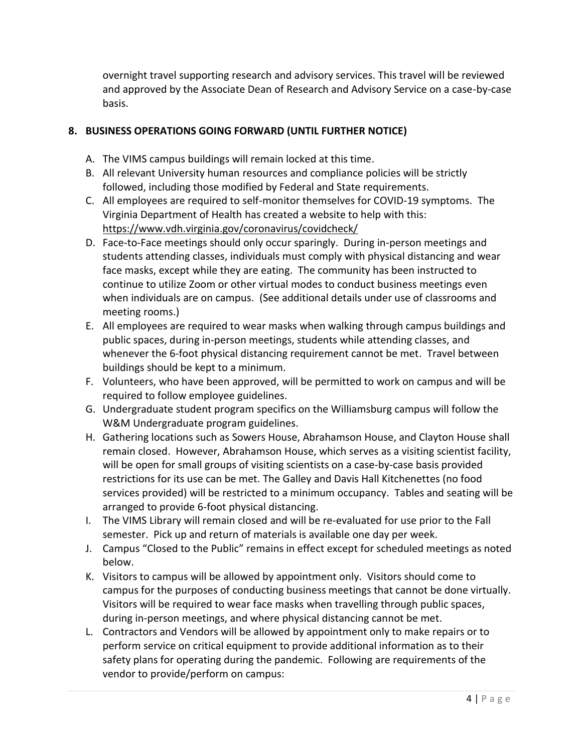overnight travel supporting research and advisory services. This travel will be reviewed and approved by the Associate Dean of Research and Advisory Service on a case-by-case basis.

# **8. BUSINESS OPERATIONS GOING FORWARD (UNTIL FURTHER NOTICE)**

- A. The VIMS campus buildings will remain locked at this time.
- B. All relevant University human resources and compliance policies will be strictly followed, including those modified by Federal and State requirements.
- C. All employees are required to self-monitor themselves for COVID-19 symptoms. The Virginia Department of Health has created a website to help with this: <https://www.vdh.virginia.gov/coronavirus/covidcheck/>
- D. Face-to-Face meetings should only occur sparingly. During in-person meetings and students attending classes, individuals must comply with physical distancing and wear face masks, except while they are eating. The community has been instructed to continue to utilize Zoom or other virtual modes to conduct business meetings even when individuals are on campus. (See additional details under use of classrooms and meeting rooms.)
- E. All employees are required to wear masks when walking through campus buildings and public spaces, during in-person meetings, students while attending classes, and whenever the 6-foot physical distancing requirement cannot be met. Travel between buildings should be kept to a minimum.
- F. Volunteers, who have been approved, will be permitted to work on campus and will be required to follow employee guidelines.
- G. Undergraduate student program specifics on the Williamsburg campus will follow the W&M Undergraduate program guidelines.
- H. Gathering locations such as Sowers House, Abrahamson House, and Clayton House shall remain closed. However, Abrahamson House, which serves as a visiting scientist facility, will be open for small groups of visiting scientists on a case-by-case basis provided restrictions for its use can be met. The Galley and Davis Hall Kitchenettes (no food services provided) will be restricted to a minimum occupancy. Tables and seating will be arranged to provide 6-foot physical distancing.
- I. The VIMS Library will remain closed and will be re-evaluated for use prior to the Fall semester. Pick up and return of materials is available one day per week.
- J. Campus "Closed to the Public" remains in effect except for scheduled meetings as noted below.
- K. Visitors to campus will be allowed by appointment only. Visitors should come to campus for the purposes of conducting business meetings that cannot be done virtually. Visitors will be required to wear face masks when travelling through public spaces, during in-person meetings, and where physical distancing cannot be met.
- L. Contractors and Vendors will be allowed by appointment only to make repairs or to perform service on critical equipment to provide additional information as to their safety plans for operating during the pandemic.  Following are requirements of the vendor to provide/perform on campus: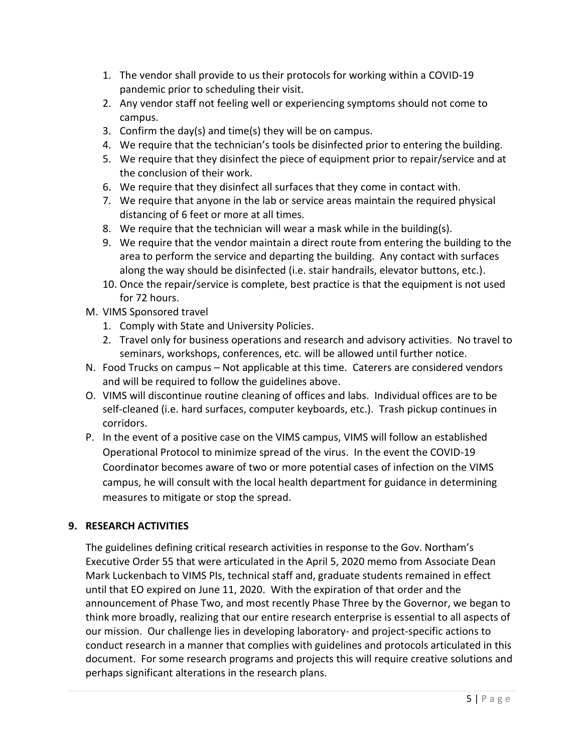- 1. The vendor shall provide to us their protocols for working within a COVID-19 pandemic prior to scheduling their visit.
- 2. Any vendor staff not feeling well or experiencing symptoms should not come to campus.
- 3. Confirm the day(s) and time(s) they will be on campus.
- 4. We require that the technician's tools be disinfected prior to entering the building.
- 5. We require that they disinfect the piece of equipment prior to repair/service and at the conclusion of their work.
- 6. We require that they disinfect all surfaces that they come in contact with.
- 7. We require that anyone in the lab or service areas maintain the required physical distancing of 6 feet or more at all times.
- 8. We require that the technician will wear a mask while in the building(s).
- 9. We require that the vendor maintain a direct route from entering the building to the area to perform the service and departing the building. Any contact with surfaces along the way should be disinfected (i.e. stair handrails, elevator buttons, etc.).
- 10. Once the repair/service is complete, best practice is that the equipment is not used for 72 hours.
- M. VIMS Sponsored travel
	- 1. Comply with State and University Policies.
	- 2. Travel only for business operations and research and advisory activities. No travel to seminars, workshops, conferences, etc. will be allowed until further notice.
- N. Food Trucks on campus Not applicable at this time. Caterers are considered vendors and will be required to follow the guidelines above.
- O. VIMS will discontinue routine cleaning of offices and labs. Individual offices are to be self-cleaned (i.e. hard surfaces, computer keyboards, etc.). Trash pickup continues in corridors.
- P. In the event of a positive case on the VIMS campus, VIMS will follow an established Operational Protocol to minimize spread of the virus. In the event the COVID-19 Coordinator becomes aware of two or more potential cases of infection on the VIMS campus, he will consult with the local health department for guidance in determining measures to mitigate or stop the spread.

## **9. RESEARCH ACTIVITIES**

The guidelines defining critical research activities in response to the Gov. Northam's Executive Order 55 that were articulated in the April 5, 2020 memo from Associate Dean Mark Luckenbach to VIMS PIs, technical staff and, graduate students remained in effect until that EO expired on June 11, 2020. With the expiration of that order and the announcement of Phase Two, and most recently Phase Three by the Governor, we began to think more broadly, realizing that our entire research enterprise is essential to all aspects of our mission. Our challenge lies in developing laboratory- and project-specific actions to conduct research in a manner that complies with guidelines and protocols articulated in this document. For some research programs and projects this will require creative solutions and perhaps significant alterations in the research plans.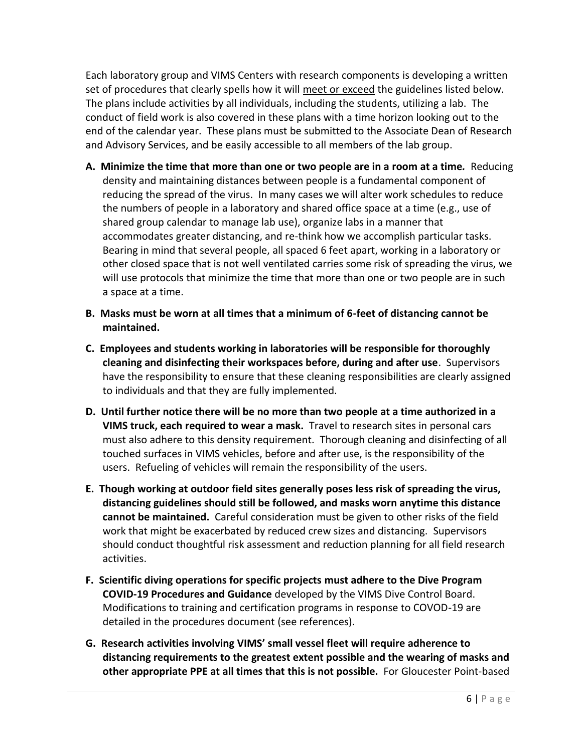Each laboratory group and VIMS Centers with research components is developing a written set of procedures that clearly spells how it will meet or exceed the guidelines listed below. The plans include activities by all individuals, including the students, utilizing a lab. The conduct of field work is also covered in these plans with a time horizon looking out to the end of the calendar year. These plans must be submitted to the Associate Dean of Research and Advisory Services, and be easily accessible to all members of the lab group.

- **A. Minimize the time that more than one or two people are in a room at a time***.* Reducing density and maintaining distances between people is a fundamental component of reducing the spread of the virus. In many cases we will alter work schedules to reduce the numbers of people in a laboratory and shared office space at a time (e.g., use of shared group calendar to manage lab use), organize labs in a manner that accommodates greater distancing, and re-think how we accomplish particular tasks. Bearing in mind that several people, all spaced 6 feet apart, working in a laboratory or other closed space that is not well ventilated carries some risk of spreading the virus, we will use protocols that minimize the time that more than one or two people are in such a space at a time.
- **B. Masks must be worn at all times that a minimum of 6-feet of distancing cannot be maintained.**
- **C. Employees and students working in laboratories will be responsible for thoroughly cleaning and disinfecting their workspaces before, during and after use**. Supervisors have the responsibility to ensure that these cleaning responsibilities are clearly assigned to individuals and that they are fully implemented.
- **D. Until further notice there will be no more than two people at a time authorized in a VIMS truck, each required to wear a mask.** Travel to research sites in personal cars must also adhere to this density requirement. Thorough cleaning and disinfecting of all touched surfaces in VIMS vehicles, before and after use, is the responsibility of the users. Refueling of vehicles will remain the responsibility of the users.
- **E. Though working at outdoor field sites generally poses less risk of spreading the virus, distancing guidelines should still be followed, and masks worn anytime this distance cannot be maintained.** Careful consideration must be given to other risks of the field work that might be exacerbated by reduced crew sizes and distancing. Supervisors should conduct thoughtful risk assessment and reduction planning for all field research activities.
- **F. Scientific diving operations for specific projects must adhere to the Dive Program COVID-19 Procedures and Guidance** developed by the VIMS Dive Control Board. Modifications to training and certification programs in response to COVOD-19 are detailed in the procedures document (see references).
- **G. Research activities involving VIMS' small vessel fleet will require adherence to distancing requirements to the greatest extent possible and the wearing of masks and other appropriate PPE at all times that this is not possible.** For Gloucester Point-based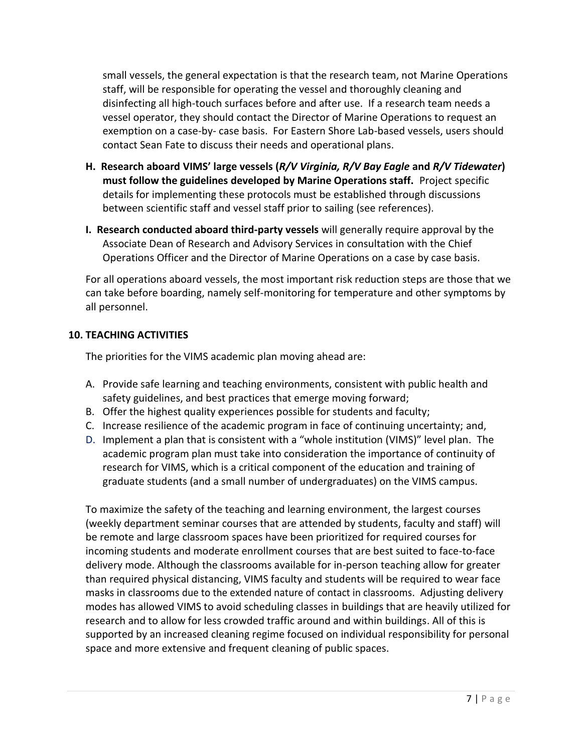small vessels, the general expectation is that the research team, not Marine Operations staff, will be responsible for operating the vessel and thoroughly cleaning and disinfecting all high-touch surfaces before and after use. If a research team needs a vessel operator, they should contact the Director of Marine Operations to request an exemption on a case-by- case basis. For Eastern Shore Lab-based vessels, users should contact Sean Fate to discuss their needs and operational plans.

- **H. Research aboard VIMS' large vessels (***R/V Virginia, R/V Bay Eagle* **and** *R/V Tidewater***) must follow the guidelines developed by Marine Operations staff.** Project specific details for implementing these protocols must be established through discussions between scientific staff and vessel staff prior to sailing (see references).
- **I. Research conducted aboard third-party vessels** will generally require approval by the Associate Dean of Research and Advisory Services in consultation with the Chief Operations Officer and the Director of Marine Operations on a case by case basis.

For all operations aboard vessels, the most important risk reduction steps are those that we can take before boarding, namely self-monitoring for temperature and other symptoms by all personnel.

# **10. TEACHING ACTIVITIES**

The priorities for the VIMS academic plan moving ahead are:

- A. Provide safe learning and teaching environments, consistent with public health and safety guidelines, and best practices that emerge moving forward;
- B. Offer the highest quality experiences possible for students and faculty;
- C. Increase resilience of the academic program in face of continuing uncertainty; and,
- D. Implement a plan that is consistent with a "whole institution (VIMS)" level plan. The academic program plan must take into consideration the importance of continuity of research for VIMS, which is a critical component of the education and training of graduate students (and a small number of undergraduates) on the VIMS campus.

To maximize the safety of the teaching and learning environment, the largest courses (weekly department seminar courses that are attended by students, faculty and staff) will be remote and large classroom spaces have been prioritized for required courses for incoming students and moderate enrollment courses that are best suited to face-to-face delivery mode. Although the classrooms available for in-person teaching allow for greater than required physical distancing, VIMS faculty and students will be required to wear face masks in classrooms due to the extended nature of contact in classrooms. Adjusting delivery modes has allowed VIMS to avoid scheduling classes in buildings that are heavily utilized for research and to allow for less crowded traffic around and within buildings. All of this is supported by an increased cleaning regime focused on individual responsibility for personal space and more extensive and frequent cleaning of public spaces.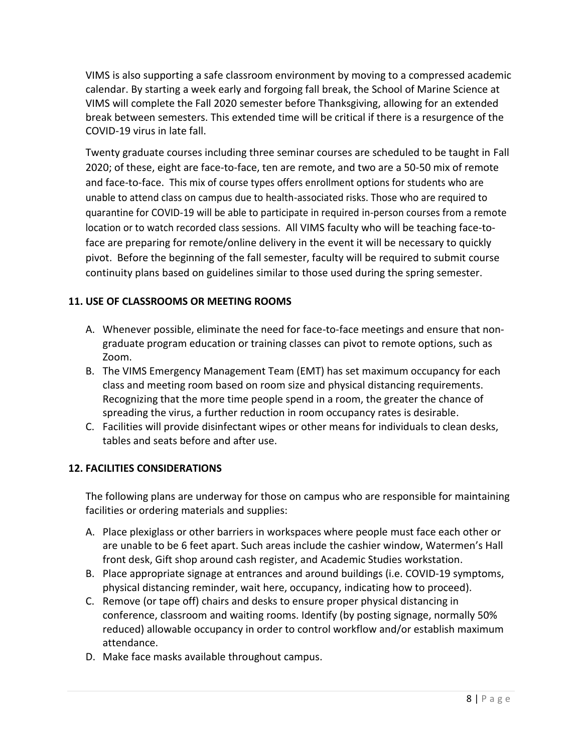VIMS is also supporting a safe classroom environment by moving to a compressed academic calendar. By starting a week early and forgoing fall break, the School of Marine Science at VIMS will complete the Fall 2020 semester before Thanksgiving, allowing for an extended break between semesters. This extended time will be critical if there is a resurgence of the COVID-19 virus in late fall.

Twenty graduate courses including three seminar courses are scheduled to be taught in Fall 2020; of these, eight are face-to-face, ten are remote, and two are a 50-50 mix of remote and face-to-face. This mix of course types offers enrollment options for students who are unable to attend class on campus due to health-associated risks. Those who are required to quarantine for COVID-19 will be able to participate in required in-person courses from a remote location or to watch recorded class sessions. All VIMS faculty who will be teaching face-toface are preparing for remote/online delivery in the event it will be necessary to quickly pivot. Before the beginning of the fall semester, faculty will be required to submit course continuity plans based on guidelines similar to those used during the spring semester.

# **11. USE OF CLASSROOMS OR MEETING ROOMS**

- A. Whenever possible, eliminate the need for face-to-face meetings and ensure that nongraduate program education or training classes can pivot to remote options, such as Zoom.
- B. The VIMS Emergency Management Team (EMT) has set maximum occupancy for each class and meeting room based on room size and physical distancing requirements. Recognizing that the more time people spend in a room, the greater the chance of spreading the virus, a further reduction in room occupancy rates is desirable.
- C. Facilities will provide disinfectant wipes or other means for individuals to clean desks, tables and seats before and after use.

## **12. FACILITIES CONSIDERATIONS**

The following plans are underway for those on campus who are responsible for maintaining facilities or ordering materials and supplies:

- A. Place plexiglass or other barriers in workspaces where people must face each other or are unable to be 6 feet apart. Such areas include the cashier window, Watermen's Hall front desk, Gift shop around cash register, and Academic Studies workstation.
- B. Place appropriate signage at entrances and around buildings (i.e. COVID-19 symptoms, physical distancing reminder, wait here, occupancy, indicating how to proceed).
- C. Remove (or tape off) chairs and desks to ensure proper physical distancing in conference, classroom and waiting rooms. Identify (by posting signage, normally 50% reduced) allowable occupancy in order to control workflow and/or establish maximum attendance.
- D. Make face masks available throughout campus.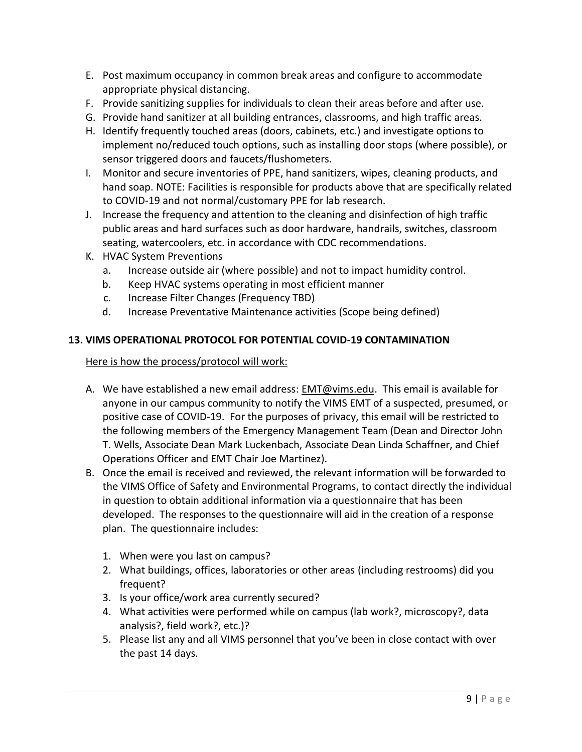- E. Post maximum occupancy in common break areas and configure to accommodate appropriate physical distancing.
- F. Provide sanitizing supplies for individuals to clean their areas before and after use.
- G. Provide hand sanitizer at all building entrances, classrooms, and high traffic areas.
- H. Identify frequently touched areas (doors, cabinets, etc.) and investigate options to implement no/reduced touch options, such as installing door stops (where possible), or sensor triggered doors and faucets/flushometers.
- I. Monitor and secure inventories of PPE, hand sanitizers, wipes, cleaning products, and hand soap. NOTE: Facilities is responsible for products above that are specifically related to COVID-19 and not normal/customary PPE for lab research.
- J. Increase the frequency and attention to the cleaning and disinfection of high traffic public areas and hard surfaces such as door hardware, handrails, switches, classroom seating, watercoolers, etc. in accordance with CDC recommendations.
- K. HVAC System Preventions
	- a. Increase outside air (where possible) and not to impact humidity control.
	- b. Keep HVAC systems operating in most efficient manner
	- c. Increase Filter Changes (Frequency TBD)
	- d. Increase Preventative Maintenance activities (Scope being defined)

## **13. VIMS OPERATIONAL PROTOCOL FOR POTENTIAL COVID-19 CONTAMINATION**

#### Here is how the process/protocol will work:

- A. We have established a new email address: [EMT@vims.edu.](mailto:EMT@vims.edu) This email is available for anyone in our campus community to notify the VIMS EMT of a suspected, presumed, or positive case of COVID-19. For the purposes of privacy, this email will be restricted to the following members of the Emergency Management Team (Dean and Director John T. Wells, Associate Dean Mark Luckenbach, Associate Dean Linda Schaffner, and Chief Operations Officer and EMT Chair Joe Martinez).
- B. Once the email is received and reviewed, the relevant information will be forwarded to the VIMS Office of Safety and Environmental Programs, to contact directly the individual in question to obtain additional information via a questionnaire that has been developed. The responses to the questionnaire will aid in the creation of a response plan. The questionnaire includes:
	- 1. When were you last on campus?
	- 2. What buildings, offices, laboratories or other areas (including restrooms) did you frequent?
	- 3. Is your office/work area currently secured?
	- 4. What activities were performed while on campus (lab work?, microscopy?, data analysis?, field work?, etc.)?
	- 5. Please list any and all VIMS personnel that you've been in close contact with over the past 14 days.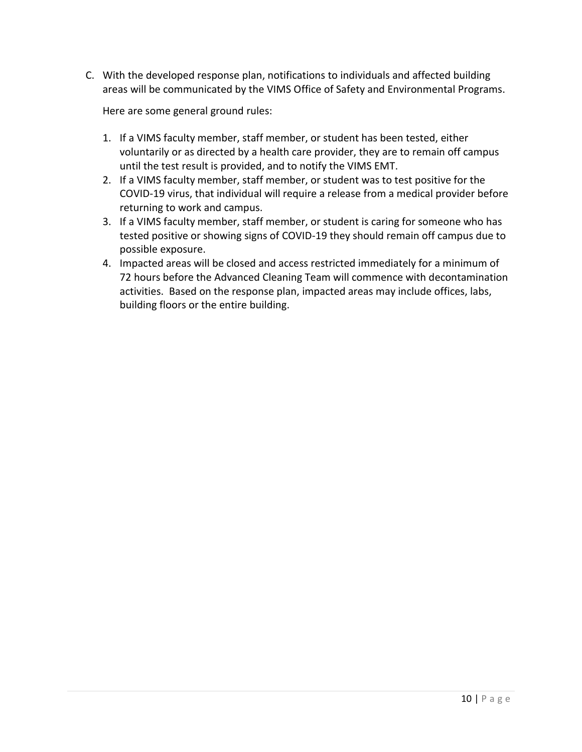C. With the developed response plan, notifications to individuals and affected building areas will be communicated by the VIMS Office of Safety and Environmental Programs.

Here are some general ground rules:

- 1. If a VIMS faculty member, staff member, or student has been tested, either voluntarily or as directed by a health care provider, they are to remain off campus until the test result is provided, and to notify the VIMS EMT.
- 2. If a VIMS faculty member, staff member, or student was to test positive for the COVID-19 virus, that individual will require a release from a medical provider before returning to work and campus.
- 3. If a VIMS faculty member, staff member, or student is caring for someone who has tested positive or showing signs of COVID-19 they should remain off campus due to possible exposure.
- 4. Impacted areas will be closed and access restricted immediately for a minimum of 72 hours before the Advanced Cleaning Team will commence with decontamination activities. Based on the response plan, impacted areas may include offices, labs, building floors or the entire building.